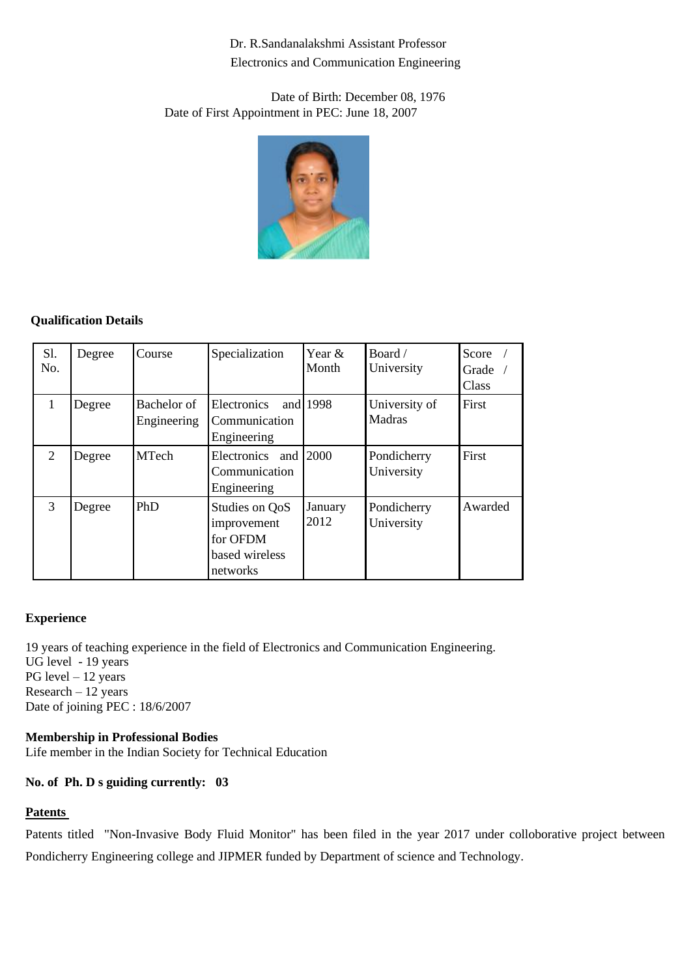Dr. R.Sandanalakshmi Assistant Professor Electronics and Communication Engineering

Date of Birth: December 08, 1976 Date of First Appointment in PEC: June 18, 2007



## **Qualification Details**

| Sl.<br>No.   | Degree | Course                     | Specialization                                                          | Year $\&$<br>Month | Board /<br>University     | Score $/$<br>Grade $\sqrt{ }$<br>Class |
|--------------|--------|----------------------------|-------------------------------------------------------------------------|--------------------|---------------------------|----------------------------------------|
| $\mathbf{1}$ | Degree | Bachelor of<br>Engineering | Electronics<br>Communication<br>Engineering                             | and $1998$         | University of<br>Madras   | First                                  |
| 2            | Degree | <b>MTech</b>               | Electronics and 2000<br>Communication<br>Engineering                    |                    | Pondicherry<br>University | First                                  |
| 3            | Degree | PhD                        | Studies on QoS<br>improvement<br>for OFDM<br>based wireless<br>networks | January<br>2012    | Pondicherry<br>University | Awarded                                |

#### **Experience**

19 years of teaching experience in the field of Electronics and Communication Engineering. UG level - 19 years PG level – 12 years  $Research - 12 years$ Date of joining PEC : 18/6/2007

# **Membership in Professional Bodies**

Life member in the Indian Society for Technical Education

## **No. of Ph. D s guiding currently: 03**

#### **Patents**

Patents titled "Non-Invasive Body Fluid Monitor" has been filed in the year 2017 under colloborative project between Pondicherry Engineering college and JIPMER funded by Department of science and Technology.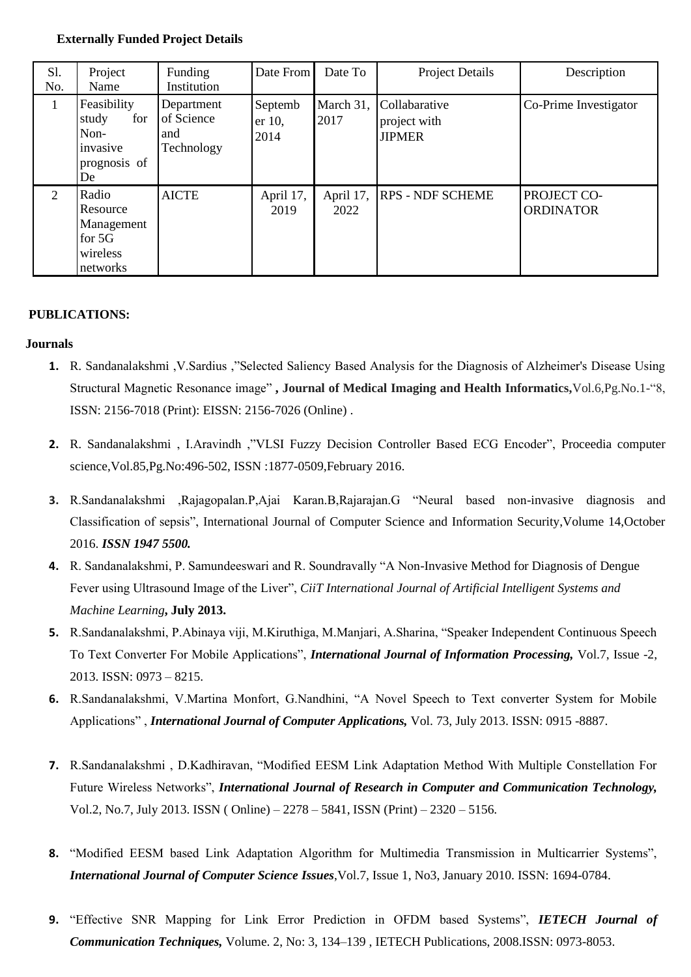#### **Externally Funded Project Details**

| Sl.<br>No.     | Project<br>Name                                                       | Funding<br>Institution                        | Date From                 | Date To | <b>Project Details</b>                                   | Description                     |
|----------------|-----------------------------------------------------------------------|-----------------------------------------------|---------------------------|---------|----------------------------------------------------------|---------------------------------|
|                | Feasibility<br>for<br>study<br>Non-<br>invasive<br>prognosis of<br>De | Department<br>of Science<br>and<br>Technology | Septemb<br>er 10,<br>2014 | 2017    | March 31, Collabarative<br>project with<br><b>JIPMER</b> | Co-Prime Investigator           |
| $\overline{2}$ | Radio<br>Resource<br>Management<br>for $5G$<br>wireless<br>networks   | <b>AICTE</b>                                  | April 17,<br>2019         | 2022    | April 17, RPS - NDF SCHEME                               | PROJECT CO-<br><b>ORDINATOR</b> |

## **PUBLICATIONS:**

#### **Journals**

- **1.** R. Sandanalakshmi ,V.Sardius ,"Selected Saliency Based Analysis for the Diagnosis of Alzheimer's Disease Using Structural Magnetic Resonance image" **, Journal of Medical Imaging and Health Informatics,**Vol.6,Pg.No.1-"8, ISSN: 2156-7018 (Print): EISSN: 2156-7026 (Online) .
- **2.** R. Sandanalakshmi , I.Aravindh ,"VLSI Fuzzy Decision Controller Based ECG Encoder", Proceedia computer science,Vol.85,Pg.No:496-502, ISSN :1877-0509,February 2016.
- **3.** R.Sandanalakshmi ,Rajagopalan.P,Ajai Karan.B,Rajarajan.G "Neural based non-invasive diagnosis and Classification of sepsis", International Journal of Computer Science and Information Security,Volume 14,October 2016. *ISSN 1947 5500.*
- **4.** R. Sandanalakshmi, P. Samundeeswari and R. Soundravally "A Non-Invasive Method for Diagnosis of Dengue Fever using Ultrasound Image of the Liver", *CiiT International Journal of Artificial Intelligent Systems and Machine Learning***, July 2013.**
- **5.** R.Sandanalakshmi, P.Abinaya viji, M.Kiruthiga, M.Manjari, A.Sharina, "Speaker Independent Continuous Speech To Text Converter For Mobile Applications", *International Journal of Information Processing,* Vol.7, Issue -2, 2013. ISSN: 0973 – 8215.
- **6.** R.Sandanalakshmi, V.Martina Monfort, G.Nandhini, "A Novel Speech to Text converter System for Mobile Applications" , *International Journal of Computer Applications,* Vol. 73, July 2013. ISSN: 0915 -8887.
- **7.** R.Sandanalakshmi , D.Kadhiravan, "Modified EESM Link Adaptation Method With Multiple Constellation For Future Wireless Networks", *International Journal of Research in Computer and Communication Technology,*  Vol.2, No.7, July 2013. ISSN ( Online) – 2278 – 5841, ISSN (Print) – 2320 – 5156.
- **8.** "Modified EESM based Link Adaptation Algorithm for Multimedia Transmission in Multicarrier Systems", *International Journal of Computer Science Issues*,Vol.7, Issue 1, No3, January 2010. ISSN: 1694-0784.
- **9.** "Effective SNR Mapping for Link Error Prediction in OFDM based Systems", *IETECH Journal of Communication Techniques,* Volume. 2, No: 3, 134–139 , IETECH Publications, 2008.ISSN: 0973-8053.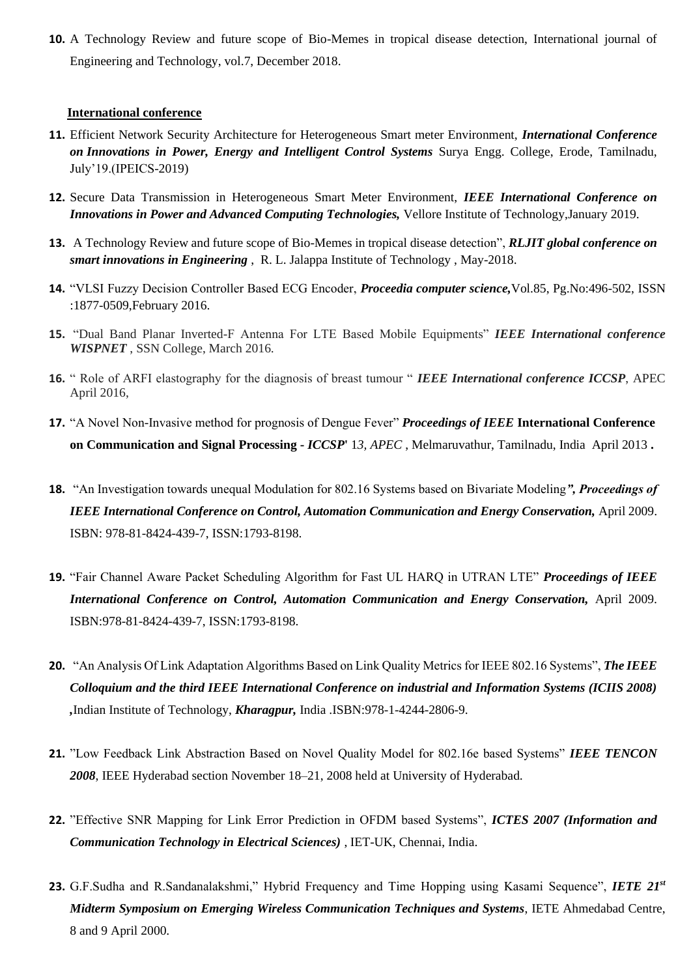**10.** A Technology Review and future scope of Bio-Memes in tropical disease detection, International journal of Engineering and Technology, vol.7, December 2018.

#### **International conference**

- **11.** Efficient Network Security Architecture for Heterogeneous Smart meter Environment, *International Conference on Innovations in Power, Energy and Intelligent Control Systems* Surya Engg. College, Erode, Tamilnadu, July'19.(IPEICS-2019)
- **12.** Secure Data Transmission in Heterogeneous Smart Meter Environment, *IEEE International Conference on Innovations in Power and Advanced Computing Technologies,* Vellore Institute of Technology,January 2019.
- **13.** A Technology Review and future scope of Bio-Memes in tropical disease detection", *RLJIT global conference on smart innovations in Engineering* , R. L. Jalappa Institute of Technology , May-2018.
- **14.** "VLSI Fuzzy Decision Controller Based ECG Encoder, *Proceedia computer science,*Vol.85, Pg.No:496-502, ISSN :1877-0509,February 2016.
- **15.** "Dual Band Planar Inverted-F Antenna For LTE Based Mobile Equipments" *IEEE International conference WISPNET* , SSN College, March 2016.
- **16.** " Role of ARFI elastography for the diagnosis of breast tumour " *IEEE International conference ICCSP*, APEC April 2016,
- **17.** "A Novel Non-Invasive method for prognosis of Dengue Fever" *Proceedings of IEEE* **International Conference on Communication and Signal Processing -** *ICCSP***'** 1*3, APEC* , Melmaruvathur, Tamilnadu, India April 2013 **.**
- **18.** "An Investigation towards unequal Modulation for 802.16 Systems based on Bivariate Modeling*", Proceedings of IEEE International Conference on Control, Automation Communication and Energy Conservation,* April 2009. ISBN: 978-81-8424-439-7, ISSN:1793-8198.
- **19.** "Fair Channel Aware Packet Scheduling Algorithm for Fast UL HARQ in UTRAN LTE" *Proceedings of IEEE International Conference on Control, Automation Communication and Energy Conservation,* April 2009. ISBN:978-81-8424-439-7, ISSN:1793-8198.
- **20.** "An Analysis Of Link Adaptation Algorithms Based on Link Quality Metrics for IEEE 802.16 Systems", *The IEEE Colloquium and the third IEEE International Conference on industrial and Information Systems (ICIIS 2008) ,*Indian Institute of Technology, *Kharagpur,* India .ISBN:978-1-4244-2806-9.
- **21.** "Low Feedback Link Abstraction Based on Novel Quality Model for 802.16e based Systems" *IEEE TENCON 2008*, IEEE Hyderabad section November 18–21, 2008 held at University of Hyderabad.
- **22.** "Effective SNR Mapping for Link Error Prediction in OFDM based Systems", *ICTES 2007 (Information and Communication Technology in Electrical Sciences)* , IET-UK, Chennai, India.
- **23.** G.F.Sudha and R.Sandanalakshmi," Hybrid Frequency and Time Hopping using Kasami Sequence", *IETE 21st Midterm Symposium on Emerging Wireless Communication Techniques and Systems*, IETE Ahmedabad Centre, 8 and 9 April 2000.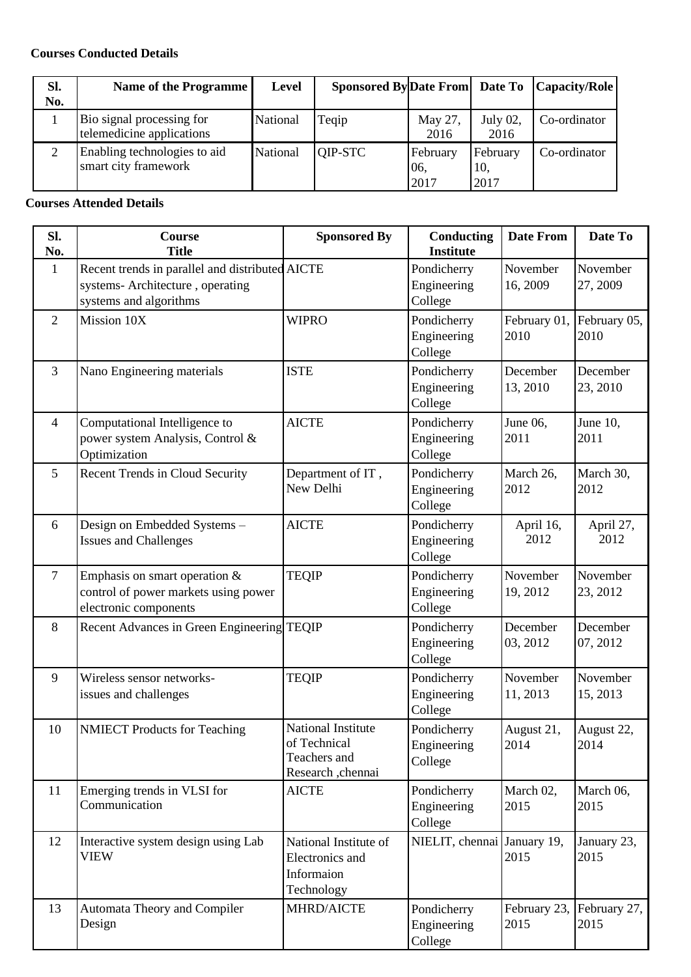## **Courses Conducted Details**

| Sl. | Name of the Programme                                  | <b>Level</b> | <b>Sponsored ByDate From Date To</b> |                         |                         | Capacity/Role |
|-----|--------------------------------------------------------|--------------|--------------------------------------|-------------------------|-------------------------|---------------|
| No. |                                                        |              |                                      |                         |                         |               |
|     | Bio signal processing for<br>telemedicine applications | National     | Teqip                                | May 27,<br>2016         | July 02,<br>2016        | Co-ordinator  |
|     | Enabling technologies to aid<br>smart city framework   | National     | QIP-STC                              | February<br>06,<br>2017 | February<br>10,<br>2017 | Co-ordinator  |

#### **Courses Attended Details**

| SI.<br>No.     | Course<br><b>Title</b>                                                                                        | <b>Sponsored By</b>                                                     | Conducting<br><b>Institute</b>        | <b>Date From</b>     | Date To              |
|----------------|---------------------------------------------------------------------------------------------------------------|-------------------------------------------------------------------------|---------------------------------------|----------------------|----------------------|
| $\mathbf{1}$   | Recent trends in parallel and distributed AICTE<br>systems- Architecture, operating<br>systems and algorithms |                                                                         | Pondicherry<br>Engineering<br>College | November<br>16, 2009 | November<br>27, 2009 |
| $\overline{2}$ | Mission 10X                                                                                                   | <b>WIPRO</b>                                                            | Pondicherry<br>Engineering<br>College | February 01,<br>2010 | February 05,<br>2010 |
| $\overline{3}$ | Nano Engineering materials                                                                                    | <b>ISTE</b>                                                             | Pondicherry<br>Engineering<br>College | December<br>13, 2010 | December<br>23, 2010 |
| $\overline{4}$ | Computational Intelligence to<br>power system Analysis, Control &<br>Optimization                             | <b>AICTE</b>                                                            | Pondicherry<br>Engineering<br>College | June 06,<br>2011     | June 10,<br>2011     |
| 5              | Recent Trends in Cloud Security                                                                               | Department of IT,<br>New Delhi                                          | Pondicherry<br>Engineering<br>College | March 26,<br>2012    | March 30,<br>2012    |
| 6              | Design on Embedded Systems -<br><b>Issues and Challenges</b>                                                  | <b>AICTE</b>                                                            | Pondicherry<br>Engineering<br>College | April 16,<br>2012    | April 27,<br>2012    |
| $\overline{7}$ | Emphasis on smart operation $\&$<br>control of power markets using power<br>electronic components             | <b>TEQIP</b>                                                            | Pondicherry<br>Engineering<br>College | November<br>19, 2012 | November<br>23, 2012 |
| 8              | Recent Advances in Green Engineering TEQIP                                                                    |                                                                         | Pondicherry<br>Engineering<br>College | December<br>03, 2012 | December<br>07, 2012 |
| 9              | Wireless sensor networks-<br>issues and challenges                                                            | <b>TEQIP</b>                                                            | Pondicherry<br>Engineering<br>College | November<br>11, 2013 | November<br>15, 2013 |
| 10             | <b>NMIECT</b> Products for Teaching                                                                           | National Institute<br>of Technical<br>Teachers and<br>Research ,chennai | Pondicherry<br>Engineering<br>College | August 21,<br>2014   | August 22,<br>2014   |
| 11             | Emerging trends in VLSI for<br>Communication                                                                  | <b>AICTE</b>                                                            | Pondicherry<br>Engineering<br>College | March 02,<br>2015    | March 06,<br>2015    |
| 12             | Interactive system design using Lab<br><b>VIEW</b>                                                            | National Institute of<br>Electronics and<br>Informaion<br>Technology    | NIELIT, chennai January 19,           | 2015                 | January 23,<br>2015  |
| 13             | Automata Theory and Compiler<br>Design                                                                        | MHRD/AICTE                                                              | Pondicherry<br>Engineering<br>College | February 23,<br>2015 | February 27,<br>2015 |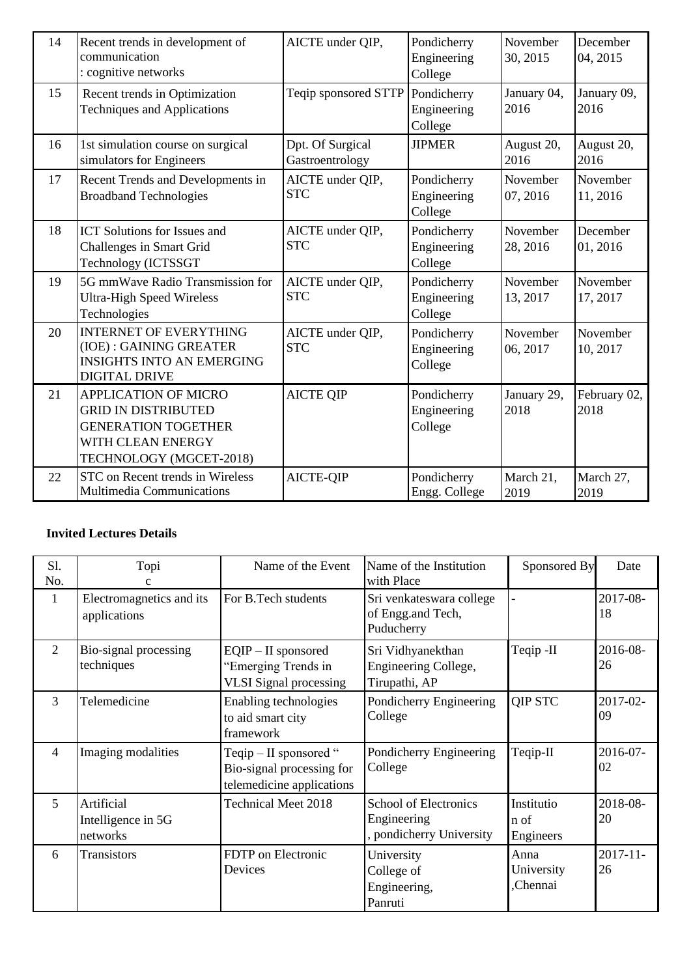| 14 | Recent trends in development of<br>communication<br>: cognitive networks                                                                | AICTE under QIP,                    | Pondicherry<br>Engineering<br>College | November<br>30, 2015 | December<br>04, 2015 |
|----|-----------------------------------------------------------------------------------------------------------------------------------------|-------------------------------------|---------------------------------------|----------------------|----------------------|
| 15 | Recent trends in Optimization<br><b>Techniques and Applications</b>                                                                     | Teqip sponsored STTP                | Pondicherry<br>Engineering<br>College | January 04,<br>2016  | January 09,<br>2016  |
| 16 | 1st simulation course on surgical<br>simulators for Engineers                                                                           | Dpt. Of Surgical<br>Gastroentrology | <b>JIPMER</b>                         | August 20,<br>2016   | August 20,<br>2016   |
| 17 | Recent Trends and Developments in<br><b>Broadband Technologies</b>                                                                      | AICTE under QIP,<br><b>STC</b>      | Pondicherry<br>Engineering<br>College | November<br>07, 2016 | November<br>11, 2016 |
| 18 | <b>ICT</b> Solutions for Issues and<br>Challenges in Smart Grid<br>Technology (ICTSSGT                                                  | AICTE under QIP,<br><b>STC</b>      | Pondicherry<br>Engineering<br>College | November<br>28, 2016 | December<br>01, 2016 |
| 19 | 5G mmWave Radio Transmission for<br><b>Ultra-High Speed Wireless</b><br>Technologies                                                    | AICTE under QIP,<br><b>STC</b>      | Pondicherry<br>Engineering<br>College | November<br>13, 2017 | November<br>17, 2017 |
| 20 | <b>INTERNET OF EVERYTHING</b><br>(IOE): GAINING GREATER<br><b>INSIGHTS INTO AN EMERGING</b><br><b>DIGITAL DRIVE</b>                     | AICTE under QIP,<br><b>STC</b>      | Pondicherry<br>Engineering<br>College | November<br>06, 2017 | November<br>10, 2017 |
| 21 | <b>APPLICATION OF MICRO</b><br><b>GRID IN DISTRIBUTED</b><br><b>GENERATION TOGETHER</b><br>WITH CLEAN ENERGY<br>TECHNOLOGY (MGCET-2018) | <b>AICTE QIP</b>                    | Pondicherry<br>Engineering<br>College | January 29,<br>2018  | February 02,<br>2018 |
| 22 | STC on Recent trends in Wireless<br>Multimedia Communications                                                                           | AICTE-QIP                           | Pondicherry<br>Engg. College          | March 21,<br>2019    | March 27,<br>2019    |

# **Invited Lectures Details**

| Sl.<br>No.     | Topi                                         | Name of the Event                                                                  | Name of the Institution<br>with Place                          | Sponsored By                    | Date                |
|----------------|----------------------------------------------|------------------------------------------------------------------------------------|----------------------------------------------------------------|---------------------------------|---------------------|
| 1              | Electromagnetics and its<br>applications     | For B.Tech students                                                                | Sri venkateswara college<br>of Engg.and Tech,<br>Puducherry    |                                 | 2017-08-<br>18      |
| $\overline{2}$ | Bio-signal processing<br>techniques          | $EQIP - II$ sponsored<br>"Emerging Trends in<br><b>VLSI</b> Signal processing      | Sri Vidhyanekthan<br>Engineering College,<br>Tirupathi, AP     | Teqip-II                        | 2016-08-<br>26      |
| 3              | Telemedicine                                 | Enabling technologies<br>to aid smart city<br>framework                            | Pondicherry Engineering<br>College                             | <b>QIP STC</b>                  | $2017 - 02 -$<br>09 |
| $\overline{4}$ | Imaging modalities                           | Teqip $-$ II sponsored "<br>Bio-signal processing for<br>telemedicine applications | Pondicherry Engineering<br>College                             | Teqip-II                        | 2016-07-<br>02      |
| 5              | Artificial<br>Intelligence in 5G<br>networks | Technical Meet 2018                                                                | School of Electronics<br>Engineering<br>pondicherry University | Institutio<br>n of<br>Engineers | 2018-08-<br>20      |
| 6              | Transistors                                  | FDTP on Electronic<br>Devices                                                      | University<br>College of<br>Engineering,<br>Panruti            | Anna<br>University<br>Chennai   | $2017 - 11$<br>26   |